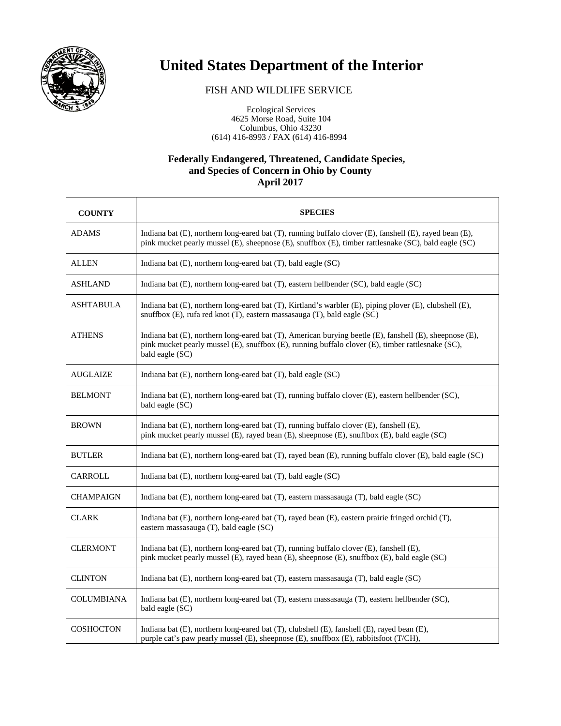

## **United States Department of the Interior**

## FISH AND WILDLIFE SERVICE

 Ecological Services 4625 Morse Road, Suite 104 Columbus, Ohio 43230 (614) 416-8993 / FAX (614) 416-8994

## **Federally Endangered, Threatened, Candidate Species, and Species of Concern in Ohio by County April 2017**

| <b>COUNTY</b>     | <b>SPECIES</b>                                                                                                                                                                                                                  |
|-------------------|---------------------------------------------------------------------------------------------------------------------------------------------------------------------------------------------------------------------------------|
| ADAMS             | Indiana bat (E), northern long-eared bat (T), running buffalo clover (E), fanshell (E), rayed bean (E),<br>pink mucket pearly mussel (E), sheepnose (E), snuffbox (E), timber rattlesnake (SC), bald eagle (SC)                 |
| ALLEN             | Indiana bat (E), northern long-eared bat (T), bald eagle (SC)                                                                                                                                                                   |
| ASHLAND           | Indiana bat (E), northern long-eared bat (T), eastern hellbender (SC), bald eagle (SC)                                                                                                                                          |
| ASHTABULA         | Indiana bat (E), northern long-eared bat (T), Kirtland's warbler (E), piping plover (E), clubshell (E),<br>snuffbox (E), rufa red knot (T), eastern massasauga (T), bald eagle (SC)                                             |
| ATHENS            | Indiana bat (E), northern long-eared bat (T), American burying beetle (E), fanshell (E), sheepnose (E),<br>pink mucket pearly mussel (E), snuffbox (E), running buffalo clover (E), timber rattlesnake (SC),<br>bald eagle (SC) |
| <b>AUGLAIZE</b>   | Indiana bat (E), northern long-eared bat (T), bald eagle (SC)                                                                                                                                                                   |
| BELMONT           | Indiana bat (E), northern long-eared bat (T), running buffalo clover (E), eastern hellbender (SC),<br>bald eagle (SC)                                                                                                           |
| <b>BROWN</b>      | Indiana bat (E), northern long-eared bat (T), running buffalo clover (E), fanshell (E),<br>pink mucket pearly mussel (E), rayed bean (E), sheepnose (E), snuffbox (E), bald eagle (SC)                                          |
| <b>BUTLER</b>     | Indiana bat (E), northern long-eared bat (T), rayed bean (E), running buffalo clover (E), bald eagle (SC)                                                                                                                       |
| CARROLL           | Indiana bat (E), northern long-eared bat (T), bald eagle (SC)                                                                                                                                                                   |
| <b>CHAMPAIGN</b>  | Indiana bat (E), northern long-eared bat (T), eastern massasauga (T), bald eagle (SC)                                                                                                                                           |
| <b>CLARK</b>      | Indiana bat (E), northern long-eared bat (T), rayed bean (E), eastern prairie fringed orchid (T),<br>eastern massasauga (T), bald eagle (SC)                                                                                    |
| <b>CLERMONT</b>   | Indiana bat (E), northern long-eared bat (T), running buffalo clover (E), fanshell (E),<br>pink mucket pearly mussel (E), rayed bean (E), sheepnose (E), snuffbox (E), bald eagle (SC)                                          |
| <b>CLINTON</b>    | Indiana bat (E), northern long-eared bat (T), eastern massasauga (T), bald eagle (SC)                                                                                                                                           |
| <b>COLUMBIANA</b> | Indiana bat (E), northern long-eared bat (T), eastern massasauga (T), eastern hellbender (SC),<br>bald eagle (SC)                                                                                                               |
| <b>COSHOCTON</b>  | Indiana bat (E), northern long-eared bat (T), clubshell (E), fanshell (E), rayed bean (E),<br>purple cat's paw pearly mussel (E), sheepnose (E), snuffbox (E), rabbitsfoot (T/CH),                                              |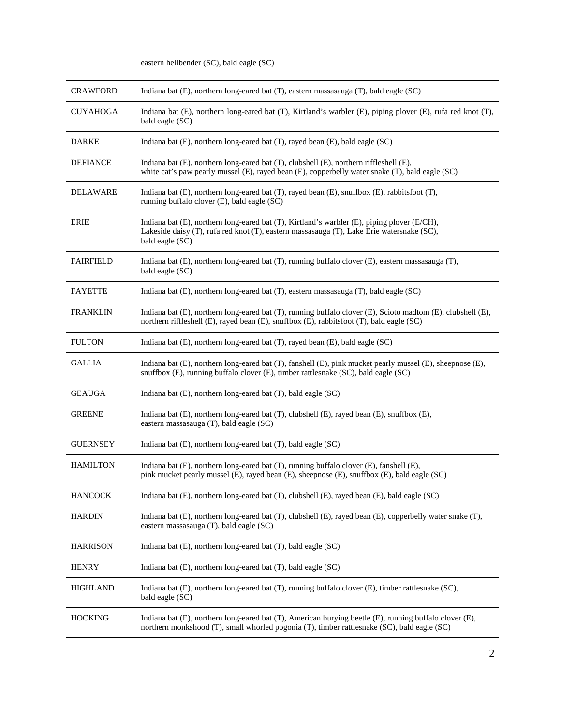|                  | eastern hellbender (SC), bald eagle (SC)                                                                                                                                                                    |
|------------------|-------------------------------------------------------------------------------------------------------------------------------------------------------------------------------------------------------------|
| <b>CRAWFORD</b>  | Indiana bat (E), northern long-eared bat (T), eastern massasauga (T), bald eagle (SC)                                                                                                                       |
| CUYAHOGA         | Indiana bat (E), northern long-eared bat (T), Kirtland's warbler (E), piping plover (E), rufa red knot (T),<br>bald eagle (SC)                                                                              |
| <b>DARKE</b>     | Indiana bat (E), northern long-eared bat (T), rayed bean (E), bald eagle (SC)                                                                                                                               |
| <b>DEFIANCE</b>  | Indiana bat (E), northern long-eared bat (T), clubshell (E), northern riffleshell (E),<br>white cat's paw pearly mussel (E), rayed bean (E), copperbelly water snake (T), bald eagle (SC)                   |
| DELAWARE         | Indiana bat (E), northern long-eared bat (T), rayed bean (E), snuffbox (E), rabbitsfoot (T),<br>running buffalo clover (E), bald eagle (SC)                                                                 |
| <b>ERIE</b>      | Indiana bat (E), northern long-eared bat (T), Kirtland's warbler (E), piping plover (E/CH),<br>Lakeside daisy (T), rufa red knot (T), eastern massasauga (T), Lake Erie watersnake (SC),<br>bald eagle (SC) |
| <b>FAIRFIELD</b> | Indiana bat (E), northern long-eared bat (T), running buffalo clover (E), eastern massasauga (T),<br>bald eagle (SC)                                                                                        |
| <b>FAYETTE</b>   | Indiana bat (E), northern long-eared bat (T), eastern massasauga (T), bald eagle (SC)                                                                                                                       |
| <b>FRANKLIN</b>  | Indiana bat (E), northern long-eared bat (T), running buffalo clover (E), Scioto madtom (E), clubshell (E),<br>northern riffleshell (E), rayed bean (E), snuffbox (E), rabbitsfoot (T), bald eagle (SC)     |
| <b>FULTON</b>    | Indiana bat (E), northern long-eared bat (T), rayed bean (E), bald eagle (SC)                                                                                                                               |
| <b>GALLIA</b>    | Indiana bat (E), northern long-eared bat (T), fanshell (E), pink mucket pearly mussel (E), sheepnose (E),<br>snuffbox (E), running buffalo clover (E), timber rattlesnake (SC), bald eagle (SC)             |
| <b>GEAUGA</b>    | Indiana bat (E), northern long-eared bat (T), bald eagle (SC)                                                                                                                                               |
| <b>GREENE</b>    | Indiana bat (E), northern long-eared bat (T), clubshell (E), rayed bean (E), snuffbox (E),<br>eastern massasauga (T), bald eagle (SC)                                                                       |
| <b>GUERNSEY</b>  | Indiana bat (E), northern long-eared bat (T), bald eagle (SC)                                                                                                                                               |
| HAMILTON         | Indiana bat (E), northern long-eared bat (T), running buffalo clover (E), fanshell (E),<br>pink mucket pearly mussel (E), rayed bean (E), sheepnose (E), snuffbox (E), bald eagle (SC)                      |
| <b>HANCOCK</b>   | Indiana bat (E), northern long-eared bat (T), clubshell (E), rayed bean (E), bald eagle (SC)                                                                                                                |
| <b>HARDIN</b>    | Indiana bat (E), northern long-eared bat (T), clubshell (E), rayed bean (E), copperbelly water snake (T),<br>eastern massasauga (T), bald eagle (SC)                                                        |
| <b>HARRISON</b>  | Indiana bat (E), northern long-eared bat (T), bald eagle (SC)                                                                                                                                               |
| <b>HENRY</b>     | Indiana bat (E), northern long-eared bat (T), bald eagle (SC)                                                                                                                                               |
| <b>HIGHLAND</b>  | Indiana bat (E), northern long-eared bat (T), running buffalo clover (E), timber rattlesnake (SC),<br>bald eagle (SC)                                                                                       |
| <b>HOCKING</b>   | Indiana bat (E), northern long-eared bat (T), American burying beetle (E), running buffalo clover (E),<br>northern monkshood (T), small whorled pogonia (T), timber rattlesnake (SC), bald eagle (SC)       |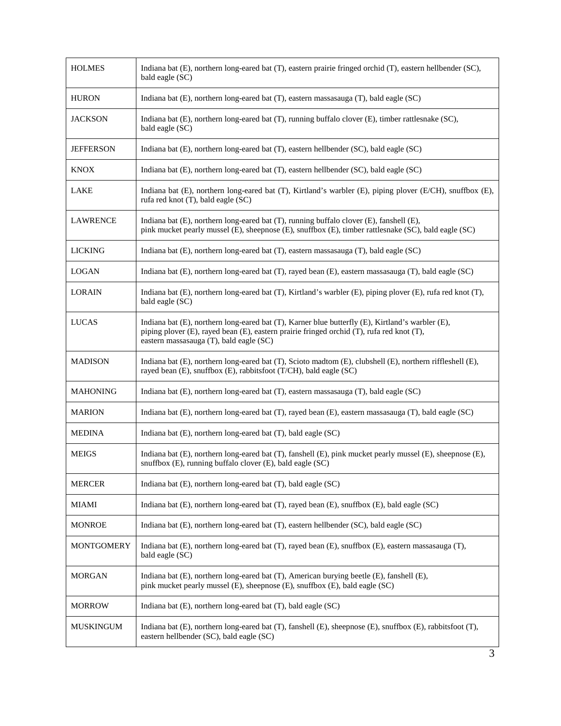| <b>HOLMES</b>     | Indiana bat (E), northern long-eared bat (T), eastern prairie fringed orchid (T), eastern hellbender (SC),<br>bald eagle (SC)                                                                                                            |
|-------------------|------------------------------------------------------------------------------------------------------------------------------------------------------------------------------------------------------------------------------------------|
| <b>HURON</b>      | Indiana bat (E), northern long-eared bat (T), eastern massasauga (T), bald eagle (SC)                                                                                                                                                    |
| <b>JACKSON</b>    | Indiana bat (E), northern long-eared bat (T), running buffalo clover (E), timber rattlesnake (SC),<br>bald eagle (SC)                                                                                                                    |
| <b>JEFFERSON</b>  | Indiana bat (E), northern long-eared bat (T), eastern hellbender (SC), bald eagle (SC)                                                                                                                                                   |
| <b>KNOX</b>       | Indiana bat (E), northern long-eared bat (T), eastern hellbender (SC), bald eagle (SC)                                                                                                                                                   |
| <b>LAKE</b>       | Indiana bat (E), northern long-eared bat (T), Kirtland's warbler (E), piping plover (E/CH), snuffbox (E),<br>rufa red knot (T), bald eagle (SC)                                                                                          |
| <b>LAWRENCE</b>   | Indiana bat (E), northern long-eared bat (T), running buffalo clover (E), fanshell (E),<br>pink mucket pearly mussel (E), sheepnose (E), snuffbox (E), timber rattlesnake (SC), bald eagle (SC)                                          |
| LICKING           | Indiana bat (E), northern long-eared bat (T), eastern massasauga (T), bald eagle (SC)                                                                                                                                                    |
| <b>LOGAN</b>      | Indiana bat (E), northern long-eared bat (T), rayed bean (E), eastern massasauga (T), bald eagle (SC)                                                                                                                                    |
| <b>LORAIN</b>     | Indiana bat (E), northern long-eared bat (T), Kirtland's warbler (E), piping plover (E), rufa red knot (T),<br>bald eagle (SC)                                                                                                           |
| <b>LUCAS</b>      | Indiana bat (E), northern long-eared bat (T), Karner blue butterfly (E), Kirtland's warbler (E),<br>piping plover (E), rayed bean (E), eastern prairie fringed orchid (T), rufa red knot (T),<br>eastern massasauga (T), bald eagle (SC) |
| <b>MADISON</b>    | Indiana bat (E), northern long-eared bat (T), Scioto madtom (E), clubshell (E), northern riffleshell (E),<br>rayed bean (E), snuffbox (E), rabbitsfoot (T/CH), bald eagle (SC)                                                           |
| <b>MAHONING</b>   | Indiana bat (E), northern long-eared bat (T), eastern massasauga (T), bald eagle (SC)                                                                                                                                                    |
| <b>MARION</b>     | Indiana bat (E), northern long-eared bat (T), rayed bean (E), eastern massasauga (T), bald eagle (SC)                                                                                                                                    |
| <b>MEDINA</b>     | Indiana bat $(E)$ , northern long-eared bat $(T)$ , bald eagle $(SC)$                                                                                                                                                                    |
| <b>MEIGS</b>      | Indiana bat (E), northern long-eared bat (T), fanshell (E), pink mucket pearly mussel (E), sheepnose (E),<br>snuffbox (E), running buffalo clover (E), bald eagle (SC)                                                                   |
| <b>MERCER</b>     | Indiana bat (E), northern long-eared bat (T), bald eagle (SC)                                                                                                                                                                            |
| MIAMI             | Indiana bat (E), northern long-eared bat (T), rayed bean (E), snuffbox (E), bald eagle (SC)                                                                                                                                              |
| <b>MONROE</b>     | Indiana bat (E), northern long-eared bat (T), eastern hellbender (SC), bald eagle (SC)                                                                                                                                                   |
| <b>MONTGOMERY</b> | Indiana bat (E), northern long-eared bat (T), rayed bean (E), snuffbox (E), eastern massasauga (T),<br>bald eagle (SC)                                                                                                                   |
| <b>MORGAN</b>     | Indiana bat (E), northern long-eared bat (T), American burying beetle (E), fanshell (E),<br>pink mucket pearly mussel (E), sheepnose (E), snuffbox (E), bald eagle (SC)                                                                  |
| <b>MORROW</b>     | Indiana bat (E), northern long-eared bat (T), bald eagle (SC)                                                                                                                                                                            |
| <b>MUSKINGUM</b>  | Indiana bat (E), northern long-eared bat (T), fanshell (E), sheepnose (E), snuffbox (E), rabbitsfoot (T),<br>eastern hellbender (SC), bald eagle (SC)                                                                                    |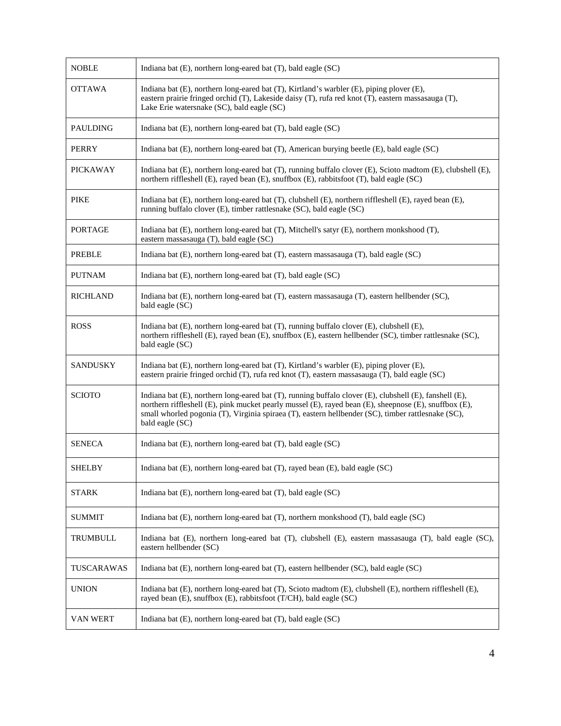| <b>NOBLE</b>    | Indiana bat (E), northern long-eared bat (T), bald eagle (SC)                                                                                                                                                                                                                                                                            |
|-----------------|------------------------------------------------------------------------------------------------------------------------------------------------------------------------------------------------------------------------------------------------------------------------------------------------------------------------------------------|
| <b>OTTAWA</b>   | Indiana bat (E), northern long-eared bat (T), Kirtland's warbler (E), piping plover (E),<br>eastern prairie fringed orchid (T), Lakeside daisy (T), rufa red knot (T), eastern massasauga (T),<br>Lake Erie watersnake (SC), bald eagle (SC)                                                                                             |
| <b>PAULDING</b> | Indiana bat (E), northern long-eared bat (T), bald eagle (SC)                                                                                                                                                                                                                                                                            |
| <b>PERRY</b>    | Indiana bat (E), northern long-eared bat (T), American burying beetle (E), bald eagle (SC)                                                                                                                                                                                                                                               |
| <b>PICKAWAY</b> | Indiana bat (E), northern long-eared bat (T), running buffalo clover (E), Scioto madtom (E), clubshell (E),<br>northern riffleshell (E), rayed bean (E), snuffbox (E), rabbitsfoot (T), bald eagle (SC)                                                                                                                                  |
| <b>PIKE</b>     | Indiana bat (E), northern long-eared bat (T), clubshell (E), northern riffleshell (E), rayed bean (E),<br>running buffalo clover (E), timber rattlesnake (SC), bald eagle (SC)                                                                                                                                                           |
| <b>PORTAGE</b>  | Indiana bat (E), northern long-eared bat (T), Mitchell's satyr (E), northern monkshood (T),<br>eastern massasauga (T), bald eagle (SC)                                                                                                                                                                                                   |
| <b>PREBLE</b>   | Indiana bat (E), northern long-eared bat (T), eastern massasauga (T), bald eagle (SC)                                                                                                                                                                                                                                                    |
| <b>PUTNAM</b>   | Indiana bat (E), northern long-eared bat (T), bald eagle (SC)                                                                                                                                                                                                                                                                            |
| <b>RICHLAND</b> | Indiana bat (E), northern long-eared bat (T), eastern massasauga (T), eastern hellbender (SC),<br>bald eagle (SC)                                                                                                                                                                                                                        |
| <b>ROSS</b>     | Indiana bat $(E)$ , northern long-eared bat $(T)$ , running buffalo clover $(E)$ , clubshell $(E)$ ,<br>northern riffleshell (E), rayed bean (E), snuffbox (E), eastern hellbender (SC), timber rattlesnake (SC),<br>bald eagle (SC)                                                                                                     |
| <b>SANDUSKY</b> | Indiana bat (E), northern long-eared bat (T), Kirtland's warbler (E), piping plover (E),<br>eastern prairie fringed orchid (T), rufa red knot (T), eastern massasauga (T), bald eagle (SC)                                                                                                                                               |
| <b>SCIOTO</b>   | Indiana bat (E), northern long-eared bat (T), running buffalo clover (E), clubshell (E), fanshell (E),<br>northern riffleshell (E), pink mucket pearly mussel (E), rayed bean (E), sheepnose (E), snuffbox (E),<br>small whorled pogonia (T), Virginia spiraea (T), eastern hellbender (SC), timber rattlesnake (SC),<br>bald eagle (SC) |
| <b>SENECA</b>   | Indiana bat $(E)$ , northern long-eared bat $(T)$ , bald eagle $(SC)$                                                                                                                                                                                                                                                                    |
| <b>SHELBY</b>   | Indiana bat (E), northern long-eared bat (T), rayed bean (E), bald eagle (SC)                                                                                                                                                                                                                                                            |
| <b>STARK</b>    | Indiana bat (E), northern long-eared bat (T), bald eagle (SC)                                                                                                                                                                                                                                                                            |
| <b>SUMMIT</b>   | Indiana bat (E), northern long-eared bat (T), northern monkshood (T), bald eagle (SC)                                                                                                                                                                                                                                                    |
| TRUMBULL        | Indiana bat (E), northern long-eared bat (T), clubshell (E), eastern massasauga (T), bald eagle (SC),<br>eastern hellbender (SC)                                                                                                                                                                                                         |
| TUSCARAWAS      | Indiana bat (E), northern long-eared bat (T), eastern hellbender (SC), bald eagle (SC)                                                                                                                                                                                                                                                   |
| <b>UNION</b>    | Indiana bat (E), northern long-eared bat (T), Scioto madtom (E), clubshell (E), northern riffleshell (E),<br>rayed bean (E), snuffbox (E), rabbitsfoot (T/CH), bald eagle (SC)                                                                                                                                                           |
| VAN WERT        | Indiana bat (E), northern long-eared bat (T), bald eagle (SC)                                                                                                                                                                                                                                                                            |